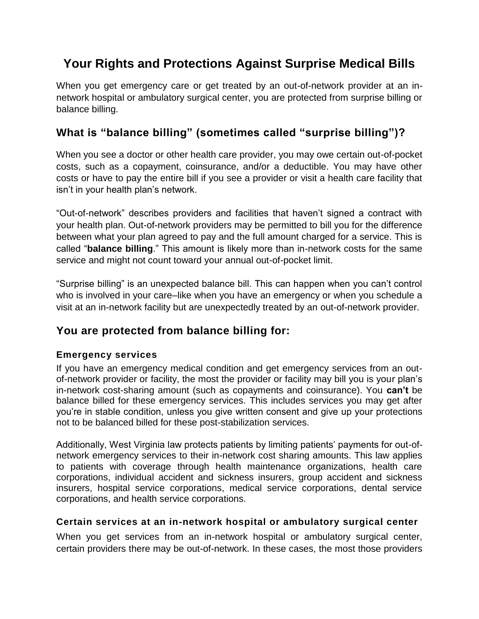# **Your Rights and Protections Against Surprise Medical Bills**

When you get emergency care or get treated by an out-of-network provider at an innetwork hospital or ambulatory surgical center, you are protected from surprise billing or balance billing.

## **What is "balance billing" (sometimes called "surprise billing")?**

When you see a doctor or other health care provider, you may owe certain out-of-pocket costs, such as a copayment, coinsurance, and/or a deductible. You may have other costs or have to pay the entire bill if you see a provider or visit a health care facility that isn't in your health plan's network.

"Out-of-network" describes providers and facilities that haven't signed a contract with your health plan. Out-of-network providers may be permitted to bill you for the difference between what your plan agreed to pay and the full amount charged for a service. This is called "**balance billing**." This amount is likely more than in-network costs for the same service and might not count toward your annual out-of-pocket limit.

"Surprise billing" is an unexpected balance bill. This can happen when you can't control who is involved in your care–like when you have an emergency or when you schedule a visit at an in-network facility but are unexpectedly treated by an out-of-network provider.

## **You are protected from balance billing for:**

#### **Emergency services**

If you have an emergency medical condition and get emergency services from an outof-network provider or facility, the most the provider or facility may bill you is your plan's in-network cost-sharing amount (such as copayments and coinsurance). You **can't** be balance billed for these emergency services. This includes services you may get after you're in stable condition, unless you give written consent and give up your protections not to be balanced billed for these post-stabilization services.

Additionally, West Virginia law protects patients by limiting patients' payments for out-ofnetwork emergency services to their in-network cost sharing amounts. This law applies to patients with coverage through health maintenance organizations, health care corporations, individual accident and sickness insurers, group accident and sickness insurers, hospital service corporations, medical service corporations, dental service corporations, and health service corporations.

#### **Certain services at an in-network hospital or ambulatory surgical center**

When you get services from an in-network hospital or ambulatory surgical center, certain providers there may be out-of-network. In these cases, the most those providers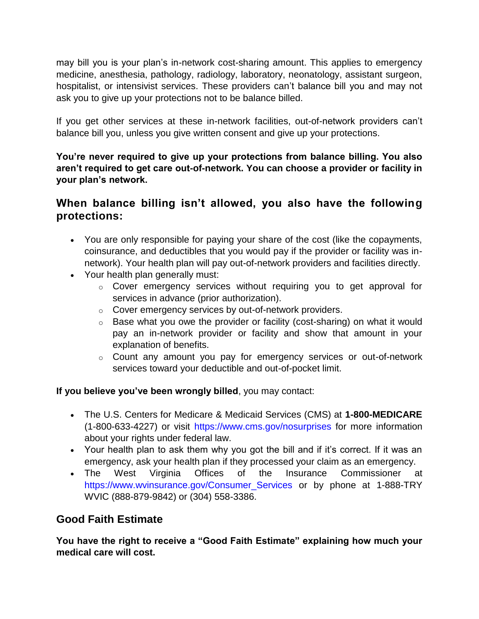may bill you is your plan's in-network cost-sharing amount. This applies to emergency medicine, anesthesia, pathology, radiology, laboratory, neonatology, assistant surgeon, hospitalist, or intensivist services. These providers can't balance bill you and may not ask you to give up your protections not to be balance billed.

If you get other services at these in-network facilities, out-of-network providers can't balance bill you, unless you give written consent and give up your protections.

**You're never required to give up your protections from balance billing. You also aren't required to get care out-of-network. You can choose a provider or facility in your plan's network.**

### **When balance billing isn't allowed, you also have the following protections:**

- You are only responsible for paying your share of the cost (like the copayments, coinsurance, and deductibles that you would pay if the provider or facility was innetwork). Your health plan will pay out-of-network providers and facilities directly.
- Your health plan generally must:
	- $\circ$  Cover emergency services without requiring you to get approval for services in advance (prior authorization).
	- o Cover emergency services by out-of-network providers.
	- $\circ$  Base what you owe the provider or facility (cost-sharing) on what it would pay an in-network provider or facility and show that amount in your explanation of benefits.
	- o Count any amount you pay for emergency services or out-of-network services toward your deductible and out-of-pocket limit.

#### **If you believe you've been wrongly billed**, you may contact:

- The U.S. Centers for Medicare & Medicaid Services (CMS) at **1-800-MEDICARE** (1-800-633-4227) or visit<https://www.cms.gov/nosurprises> for more information about your rights under federal law.
- Your health plan to ask them why you got the bill and if it's correct. If it was an emergency, ask your health plan if they processed your claim as an emergency.
- The West Virginia Offices of the Insurance Commissioner at [https://www.wvinsurance.gov/Consumer\\_Services](https://www.wvinsurance.gov/Consumer_Services) or by phone at 1-888-TRY WVIC (888-879-9842) or (304) 558-3386.

### **Good Faith Estimate**

**You have the right to receive a "Good Faith Estimate" explaining how much your medical care will cost.**